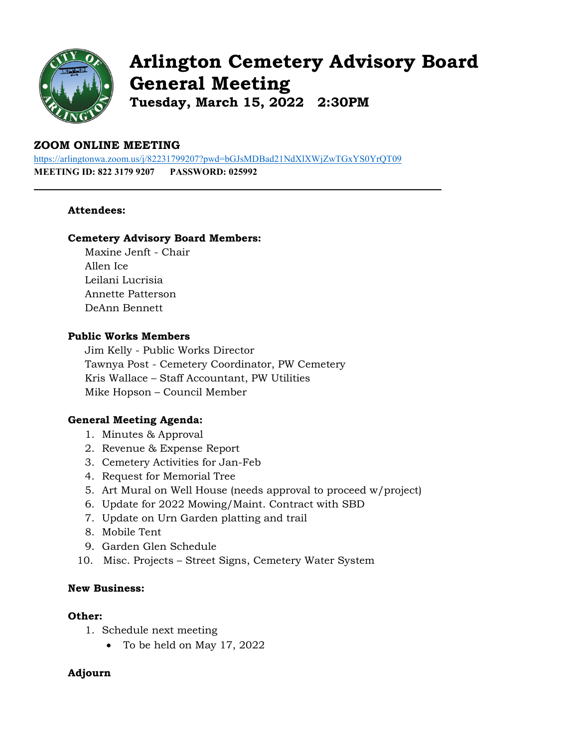

# **Arlington Cemetery Advisory Board General Meeting Tuesday, March 15, 2022 2:30PM**

# **ZOOM ONLINE MEETING**

<https://arlingtonwa.zoom.us/j/82231799207?pwd=bGJsMDBad21NdXlXWjZwTGxYS0YrQT09> **MEETING ID: 822 3179 9207 PASSWORD: 025992**

# **Attendees:**

### **Cemetery Advisory Board Members:**

Maxine Jenft - Chair Allen Ice Leilani Lucrisia Annette Patterson DeAnn Bennett

# **Public Works Members**

Jim Kelly - Public Works Director Tawnya Post - Cemetery Coordinator, PW Cemetery Kris Wallace – Staff Accountant, PW Utilities Mike Hopson – Council Member

# **General Meeting Agenda:**

- 1. Minutes & Approval
- 2. Revenue & Expense Report
- 3. Cemetery Activities for Jan-Feb
- 4. Request for Memorial Tree
- 5. Art Mural on Well House (needs approval to proceed w/project)
- 6. Update for 2022 Mowing/Maint. Contract with SBD
- 7. Update on Urn Garden platting and trail
- 8. Mobile Tent
- 9. Garden Glen Schedule
- 10. Misc. Projects Street Signs, Cemetery Water System

# **New Business:**

#### **Other:**

- 1. Schedule next meeting
	- To be held on May 17, 2022

# **Adjourn**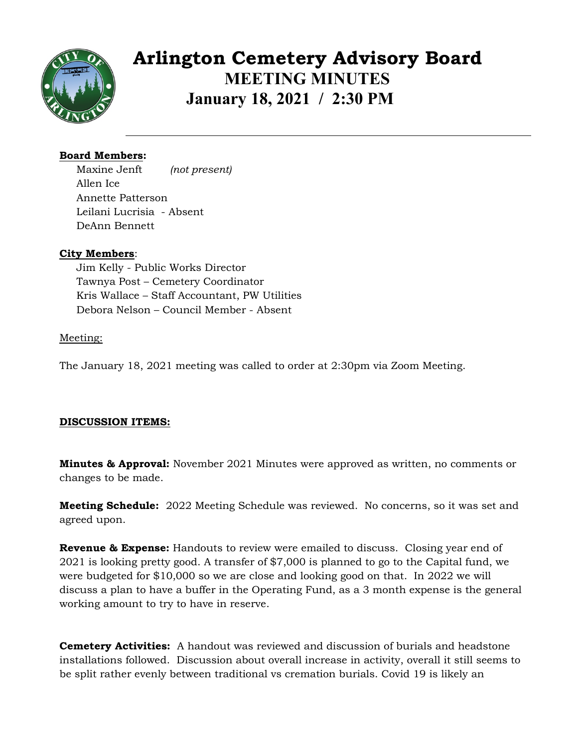

**Arlington Cemetery Advisory Board MEETING MINUTES January 18, 2021 / 2:30 PM**

# **Board Members:**

Maxine Jenft *(not present)* Allen Ice Annette Patterson Leilani Lucrisia - Absent DeAnn Bennett

# **City Members**:

Jim Kelly - Public Works Director Tawnya Post – Cemetery Coordinator Kris Wallace – Staff Accountant, PW Utilities Debora Nelson – Council Member - Absent

# Meeting:

The January 18, 2021 meeting was called to order at 2:30pm via Zoom Meeting.

# **DISCUSSION ITEMS:**

**Minutes & Approval:** November 2021 Minutes were approved as written, no comments or changes to be made.

**Meeting Schedule:** 2022 Meeting Schedule was reviewed. No concerns, so it was set and agreed upon.

**Revenue & Expense:** Handouts to review were emailed to discuss. Closing year end of 2021 is looking pretty good. A transfer of \$7,000 is planned to go to the Capital fund, we were budgeted for \$10,000 so we are close and looking good on that. In 2022 we will discuss a plan to have a buffer in the Operating Fund, as a 3 month expense is the general working amount to try to have in reserve.

**Cemetery Activities:** A handout was reviewed and discussion of burials and headstone installations followed. Discussion about overall increase in activity, overall it still seems to be split rather evenly between traditional vs cremation burials. Covid 19 is likely an